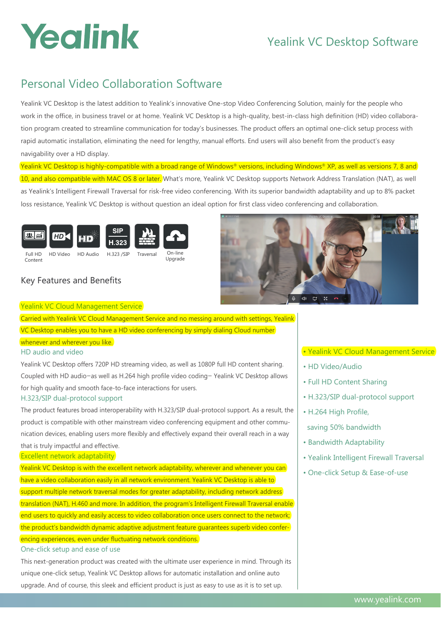# Yealink

## Yealink VC Desktop Software

## Personal Video Collaboration Software

Yealink VC Desktop is the latest addition to Yealink's innovative One-stop Video Conferencing Solution, mainly for the people who work in the office, in business travel or at home. Yealink VC Desktop is a high-quality, best-in-class high definition (HD) video collaboration program created to streamline communication for today's businesses. The product offers an optimal one-click setup process with rapid automatic installation, eliminating the need for lengthy, manual efforts. End users will also benefit from the product's easy navigability over a HD display.

Yealink VC Desktop is highly-compatible with a broad range of Windows® versions, including Windows® XP, as well as versions 7, 8 and 10, and also compatible with MAC OS 8 or later. What's more, Yealink VC Desktop supports Network Address Translation (NAT), as well as Yealink's Intelligent Firewall Traversal for risk-free video conferencing. With its superior bandwidth adaptability and up to 8% packet loss resistance, Yealink VC Desktop is without question an ideal option for first class video conferencing and collaboration.



### Key Features and Benefits



#### Yealink VC Cloud Management Service

Carried with Yealink VC Cloud Management Service and no messing around with settings, Yealink VC Desktop enables you to have a HD video conferencing by simply dialing Cloud number

#### whenever and wherever you like.

#### HD audio and video

Yealink VC Desktop offers 720P HD streaming video, as well as 1080P full HD content sharing. Coupled with HD audio—as well as H.264 high profile video coding— Yealink VC Desktop allows for high quality and smooth face-to-face interactions for users.

#### H.323/SIP dual-protocol support

The product features broad interoperability with H.323/SIP dual-protocol support. As a result, the product is compatible with other mainstream video conferencing equipment and other communication devices, enabling users more flexibly and effectively expand their overall reach in a way

#### that is truly impactful and effective. Excellent network adaptability

Yealink VC Desktop is with the excellent network adaptability, wherever and whenever you can have a video collaboration easily in all network environment. Yealink VC Desktop is able to support multiple network traversal modes for greater adaptability, including network address translation (NAT), H.460 and more. In addition, the program's Intelligent Firewall Traversal enable end users to quickly and easily access to video collaboration once users connect to the network; the product's bandwidth dynamic adaptive adjustment feature guarantees superb video conferencing experiences, even under fluctuating network conditions. One-click setup and ease of use

This next-generation product was created with the ultimate user experience in mind. Through its unique one-click setup, Yealink VC Desktop allows for automatic installation and online auto upgrade. And of course, this sleek and efficient product is just as easy to use as it is to set up.

#### • Yealink VC Cloud Management Service

- HD Video/Audio
- Full HD Content Sharing
- H.323/SIP dual-protocol support
- H.264 High Profile,
- saving 50% bandwidth
- Bandwidth Adaptability
- Yealink Intelligent Firewall Traversal
- One-click Setup & Ease-of-use